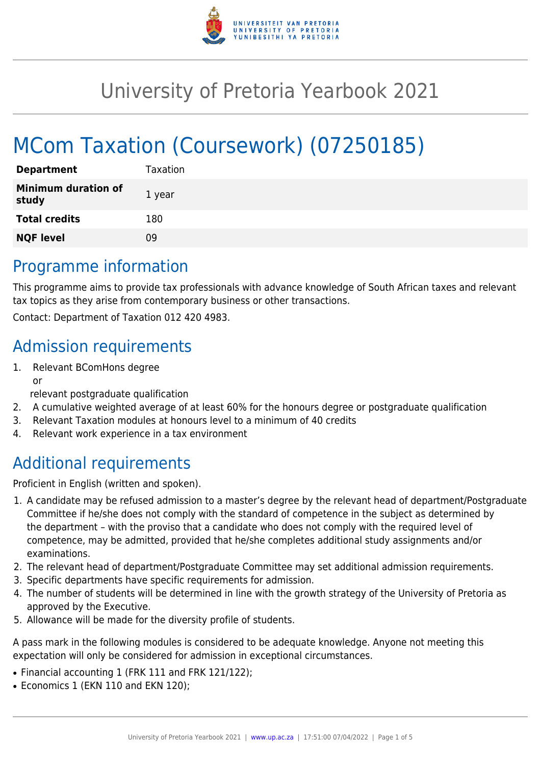

# University of Pretoria Yearbook 2021

# MCom Taxation (Coursework) (07250185)

| <b>Department</b>                   | Taxation |
|-------------------------------------|----------|
| <b>Minimum duration of</b><br>study | 1 year   |
| <b>Total credits</b>                | 180      |
| <b>NQF level</b>                    | Ωg       |

# Programme information

This programme aims to provide tax professionals with advance knowledge of South African taxes and relevant tax topics as they arise from contemporary business or other transactions.

Contact: Department of Taxation 012 420 4983.

# Admission requirements

1. Relevant BComHons degree or

relevant postgraduate qualification

- 2. A cumulative weighted average of at least 60% for the honours degree or postgraduate qualification
- 3. Relevant Taxation modules at honours level to a minimum of 40 credits
- 4. Relevant work experience in a tax environment

# Additional requirements

Proficient in English (written and spoken).

- 1. A candidate may be refused admission to a master's degree by the relevant head of department/Postgraduate Committee if he/she does not comply with the standard of competence in the subject as determined by the department – with the proviso that a candidate who does not comply with the required level of competence, may be admitted, provided that he/she completes additional study assignments and/or examinations.
- 2. The relevant head of department/Postgraduate Committee may set additional admission requirements.
- 3. Specific departments have specific requirements for admission.
- 4. The number of students will be determined in line with the growth strategy of the University of Pretoria as approved by the Executive.
- 5. Allowance will be made for the diversity profile of students.

A pass mark in the following modules is considered to be adequate knowledge. Anyone not meeting this expectation will only be considered for admission in exceptional circumstances.

- Financial accounting 1 (FRK 111 and FRK 121/122);
- Economics 1 (EKN 110 and EKN 120);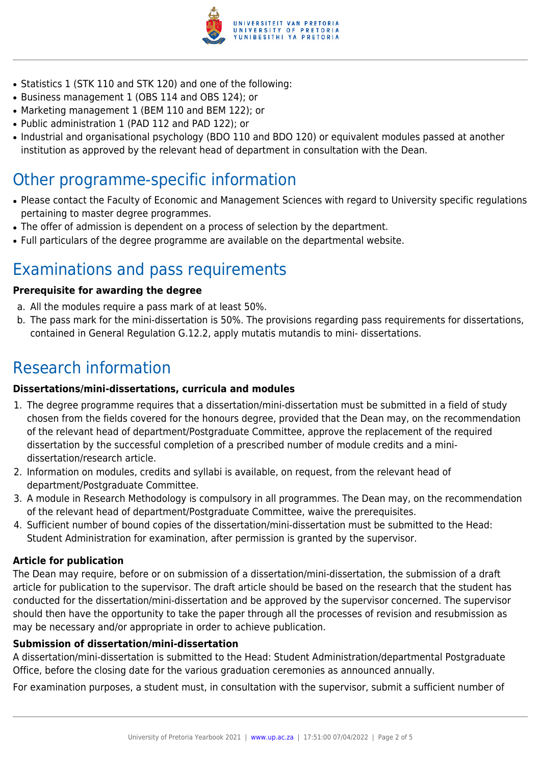

- Statistics 1 (STK 110 and STK 120) and one of the following:
- Business management 1 (OBS 114 and OBS 124); or
- Marketing management 1 (BEM 110 and BEM 122); or
- Public administration 1 (PAD 112 and PAD 122); or
- Industrial and organisational psychology (BDO 110 and BDO 120) or equivalent modules passed at another institution as approved by the relevant head of department in consultation with the Dean.

# Other programme-specific information

- Please contact the Faculty of Economic and Management Sciences with regard to University specific regulations pertaining to master degree programmes.
- The offer of admission is dependent on a process of selection by the department.
- Full particulars of the degree programme are available on the departmental website.

# Examinations and pass requirements

#### **Prerequisite for awarding the degree**

- a. All the modules require a pass mark of at least 50%.
- b. The pass mark for the mini-dissertation is 50%. The provisions regarding pass requirements for dissertations, contained in General Regulation G.12.2, apply mutatis mutandis to mini- dissertations.

# Research information

#### **Dissertations/mini-dissertations, curricula and modules**

- 1. The degree programme requires that a dissertation/mini-dissertation must be submitted in a field of study chosen from the fields covered for the honours degree, provided that the Dean may, on the recommendation of the relevant head of department/Postgraduate Committee, approve the replacement of the required dissertation by the successful completion of a prescribed number of module credits and a minidissertation/research article.
- 2. Information on modules, credits and syllabi is available, on request, from the relevant head of department/Postgraduate Committee.
- 3. A module in Research Methodology is compulsory in all programmes. The Dean may, on the recommendation of the relevant head of department/Postgraduate Committee, waive the prerequisites.
- 4. Sufficient number of bound copies of the dissertation/mini-dissertation must be submitted to the Head: Student Administration for examination, after permission is granted by the supervisor.

#### **Article for publication**

The Dean may require, before or on submission of a dissertation/mini-dissertation, the submission of a draft article for publication to the supervisor. The draft article should be based on the research that the student has conducted for the dissertation/mini-dissertation and be approved by the supervisor concerned. The supervisor should then have the opportunity to take the paper through all the processes of revision and resubmission as may be necessary and/or appropriate in order to achieve publication.

#### **Submission of dissertation/mini-dissertation**

A dissertation/mini-dissertation is submitted to the Head: Student Administration/departmental Postgraduate Office, before the closing date for the various graduation ceremonies as announced annually.

For examination purposes, a student must, in consultation with the supervisor, submit a sufficient number of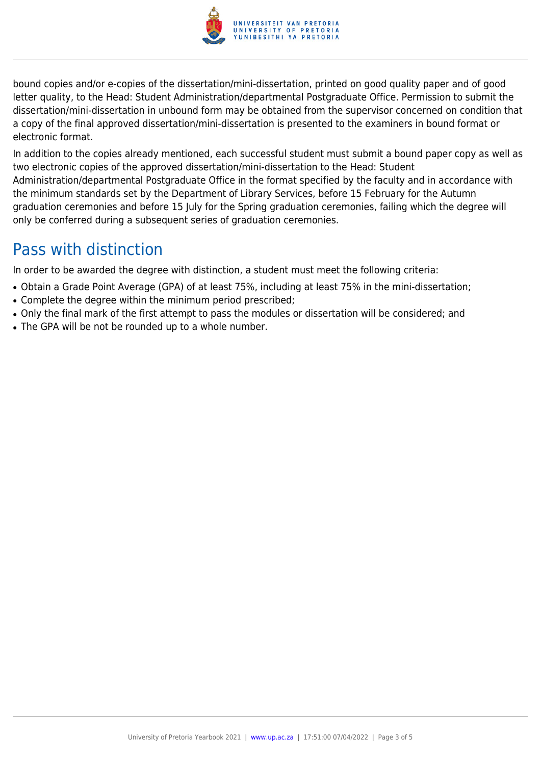

bound copies and/or e-copies of the dissertation/mini-dissertation, printed on good quality paper and of good letter quality, to the Head: Student Administration/departmental Postgraduate Office. Permission to submit the dissertation/mini-dissertation in unbound form may be obtained from the supervisor concerned on condition that a copy of the final approved dissertation/mini-dissertation is presented to the examiners in bound format or electronic format.

In addition to the copies already mentioned, each successful student must submit a bound paper copy as well as two electronic copies of the approved dissertation/mini-dissertation to the Head: Student Administration/departmental Postgraduate Office in the format specified by the faculty and in accordance with the minimum standards set by the Department of Library Services, before 15 February for the Autumn graduation ceremonies and before 15 July for the Spring graduation ceremonies, failing which the degree will only be conferred during a subsequent series of graduation ceremonies.

# Pass with distinction

In order to be awarded the degree with distinction, a student must meet the following criteria:

- Obtain a Grade Point Average (GPA) of at least 75%, including at least 75% in the mini-dissertation;
- Complete the degree within the minimum period prescribed;
- Only the final mark of the first attempt to pass the modules or dissertation will be considered; and
- The GPA will be not be rounded up to a whole number.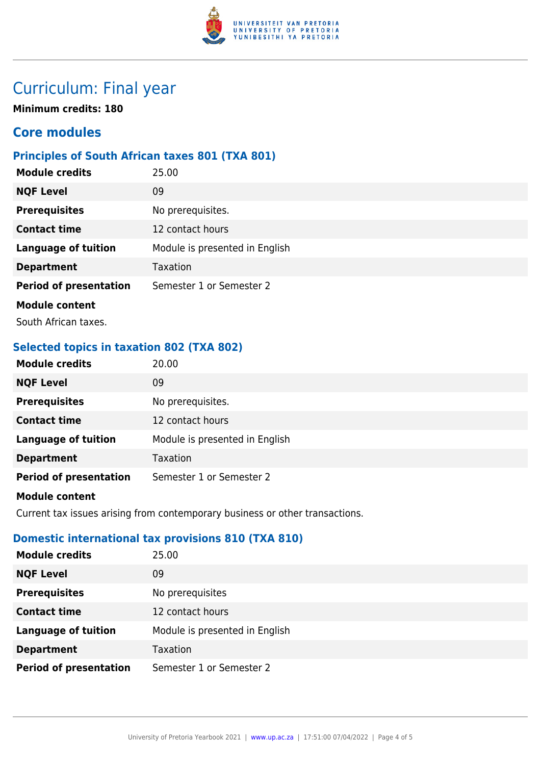

# Curriculum: Final year

**Minimum credits: 180**

## **Core modules**

## **Principles of South African taxes 801 (TXA 801)**

| <b>Module credits</b>         | 25.00                          |
|-------------------------------|--------------------------------|
| <b>NQF Level</b>              | 09                             |
| <b>Prerequisites</b>          | No prerequisites.              |
| <b>Contact time</b>           | 12 contact hours               |
| <b>Language of tuition</b>    | Module is presented in English |
| <b>Department</b>             | Taxation                       |
| <b>Period of presentation</b> | Semester 1 or Semester 2       |
| <b>Module content</b>         |                                |

South African taxes.

### **Selected topics in taxation 802 (TXA 802)**

| <b>Module credits</b>         | 20.00                          |
|-------------------------------|--------------------------------|
| <b>NQF Level</b>              | 09                             |
| <b>Prerequisites</b>          | No prerequisites.              |
| <b>Contact time</b>           | 12 contact hours               |
| <b>Language of tuition</b>    | Module is presented in English |
| <b>Department</b>             | Taxation                       |
| <b>Period of presentation</b> | Semester 1 or Semester 2       |

#### **Module content**

Current tax issues arising from contemporary business or other transactions.

## **Domestic international tax provisions 810 (TXA 810)**

| <b>Module credits</b>         | 25.00                          |
|-------------------------------|--------------------------------|
| <b>NQF Level</b>              | 09                             |
| <b>Prerequisites</b>          | No prerequisites               |
| <b>Contact time</b>           | 12 contact hours               |
| <b>Language of tuition</b>    | Module is presented in English |
| <b>Department</b>             | Taxation                       |
| <b>Period of presentation</b> | Semester 1 or Semester 2       |